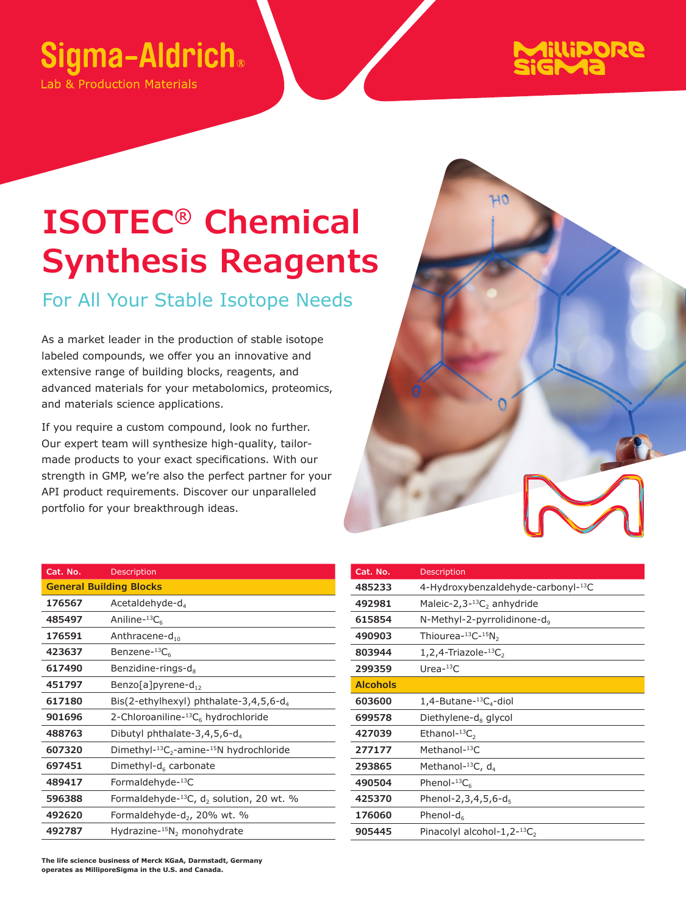## Sigma-Aldrich.

Lab & Production Materials



## **ISOTEC® Chemical Synthesis Reagents**

For All Your Stable Isotope Needs

As a market leader in the production of stable isotope labeled compounds, we offer you an innovative and extensive range of building blocks, reagents, and advanced materials for your metabolomics, proteomics, and materials science applications.

If you require a custom compound, look no further. Our expert team will synthesize high-quality, tailormade products to your exact specifications. With our strength in GMP, we're also the perfect partner for your API product requirements. Discover our unparalleled portfolio for your breakthrough ideas.

| Cat. No.                       | Description                                                |  |
|--------------------------------|------------------------------------------------------------|--|
| <b>General Building Blocks</b> |                                                            |  |
| 176567                         | Acetaldehyde-d <sub>4</sub>                                |  |
| 485497                         | Aniline- ${}^{13}C_6$                                      |  |
| 176591                         | Anthracene-d <sub>10</sub>                                 |  |
| 423637                         | Benzene- ${}^{13}C_6$                                      |  |
| 617490                         | Benzidine-rings-d <sub>s</sub>                             |  |
| 451797                         | Benzo[a]pyrene-d <sub>12</sub>                             |  |
| 617180                         | Bis(2-ethylhexyl) phthalate-3,4,5,6-d <sub>4</sub>         |  |
| 901696                         | 2-Chloroaniline-13C <sub>6</sub> hydrochloride             |  |
| 488763                         | Dibutyl phthalate-3,4,5,6- $d_4$                           |  |
| 607320                         | Dimethyl- $^{13}C_2$ -amine- $^{15}N$ hydrochloride        |  |
| 697451                         | Dimethyl- $d_6$ carbonate                                  |  |
| 489417                         | Formaldehyde-13C                                           |  |
| 596388                         | Formaldehyde- $^{13}C$ , d <sub>2</sub> solution, 20 wt. % |  |
| 492620                         | Formaldehyde-d <sub>2</sub> , 20% wt. %                    |  |
| 492787                         | Hydrazine- $^{15}N_2$ monohydrate                          |  |

| Cat. No.        | Description                                        |
|-----------------|----------------------------------------------------|
| 485233          | 4-Hydroxybenzaldehyde-carbonyl-13C                 |
| 492981          | Maleic-2,3- <sup>13</sup> C <sub>2</sub> anhydride |
| 615854          | N-Methyl-2-pyrrolidinone-d.                        |
| 490903          | Thiourea- $^{13}$ C- $^{15}$ N <sub>2</sub>        |
| 803944          | $1,2,4$ -Triazole-13C <sub>2</sub>                 |
| 299359          | Urea- $13C$                                        |
| <b>Alcohols</b> |                                                    |
| 603600          | $1,4$ -Butane- $^{13}C_{4}$ -diol                  |
| 699578          | Diethylene-d <sub>8</sub> glycol                   |
| 427039          | Ethanol- $^{13}C_2$                                |
| 277177          | Methanol-13C                                       |
| 293865          | Methanol- $^{13}$ C, d <sub>4</sub>                |
| 490504          | Phenol- ${}^{13}C_{6}$                             |
| 425370          | Phenol-2,3,4,5,6-d.                                |
| 176060          | Phenol-d $_6$                                      |
| 905445          | Pinacolyl alcohol-1,2- $^{13}C_2$                  |